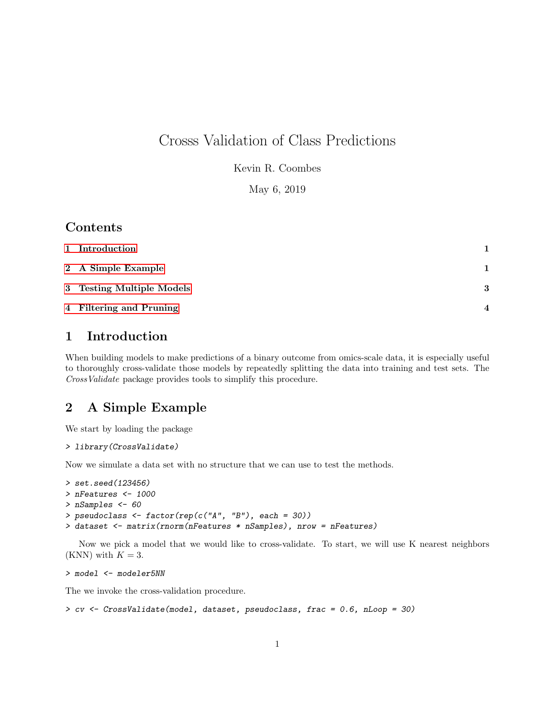# Crosss Validation of Class Predictions

Kevin R. Coombes

May 6, 2019

# Contents

| 1 Introduction            | 1.               |
|---------------------------|------------------|
| 2 A Simple Example        | 1                |
| 3 Testing Multiple Models | 3                |
| 4 Filtering and Pruning   | $\boldsymbol{4}$ |

# <span id="page-0-0"></span>1 Introduction

When building models to make predictions of a binary outcome from omics-scale data, it is especially useful to thoroughly cross-validate those models by repeatedly splitting the data into training and test sets. The CrossValidate package provides tools to simplify this procedure.

# <span id="page-0-1"></span>2 A Simple Example

We start by loading the package

```
> library(CrossValidate)
```
Now we simulate a data set with no structure that we can use to test the methods.

```
> set.seed(123456)
> nFeatures <- 1000
> nSamples <- 60
> pseudoclass \leftarrow factor(rep(c("A", "B"), each = 30))
> dataset <- matrix(rnorm(nFeatures * nSamples), nrow = nFeatures)
```
Now we pick a model that we would like to cross-validate. To start, we will use K nearest neighbors (KNN) with  $K = 3$ .

```
> model <- modeler5NN
```
The we invoke the cross-validation procedure.

```
> cv <- CrossValidate(model, dataset, pseudoclass, frac = 0.6, nLoop = 30)
```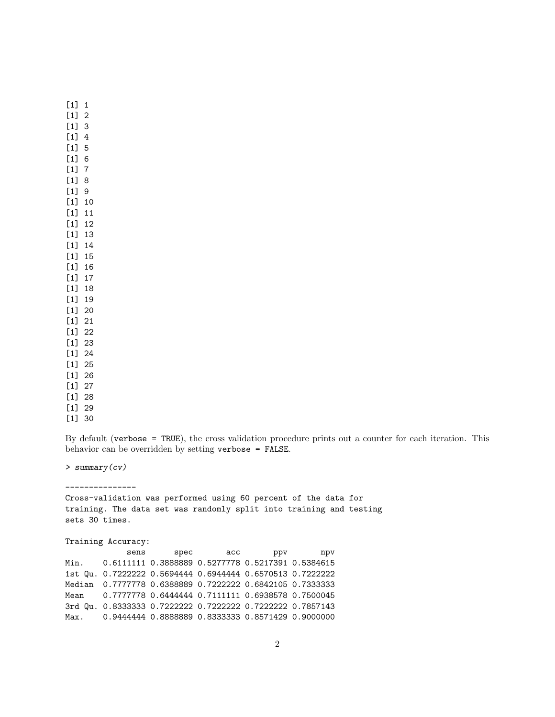[1] 1 [1] 2 [1] 3 [1] 4 [1] 5 [1] 6 [1] 7 [1] 8 [1] 9 [1] 10 [1] 11 [1] 12 [1] 13 [1] 14 [1] 15 [1] 16 [1] 17 [1] 18 [1] 19 [1] 20 [1] 21 [1] 22 [1] 23 [1] 24 [1] 25 [1] 26 [1] 27 [1] 28 [1] 29 [1] 30

By default (verbose = TRUE), the cross validation procedure prints out a counter for each iteration. This behavior can be overridden by setting verbose = FALSE.

> summary(cv)

---------------

Cross-validation was performed using 60 percent of the data for training. The data set was randomly split into training and testing sets 30 times.

Training Accuracy:

sens spec acc ppv npv Min. 0.6111111 0.3888889 0.5277778 0.5217391 0.5384615 1st Qu. 0.7222222 0.5694444 0.6944444 0.6570513 0.7222222 Median 0.7777778 0.6388889 0.7222222 0.6842105 0.7333333 Mean 0.7777778 0.6444444 0.7111111 0.6938578 0.7500045 3rd Qu. 0.8333333 0.7222222 0.7222222 0.7222222 0.7857143 Max. 0.9444444 0.8888889 0.8333333 0.8571429 0.9000000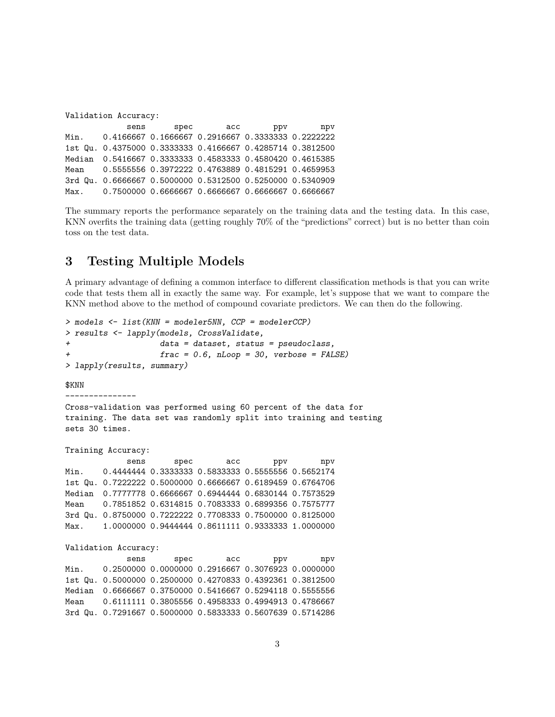| Validation Accuracy: |      |  |                                                           |  |  |  |
|----------------------|------|--|-----------------------------------------------------------|--|--|--|
|                      | sens |  | spec acc ppv npv                                          |  |  |  |
|                      |      |  | Min. 0.4166667 0.1666667 0.2916667 0.33333333 0.2222222   |  |  |  |
|                      |      |  | 1st Qu. 0.4375000 0.3333333 0.4166667 0.4285714 0.3812500 |  |  |  |
|                      |      |  | Median 0.5416667 0.3333333 0.4583333 0.4580420 0.4615385  |  |  |  |
|                      |      |  | Mean 0.5555556 0.3972222 0.4763889 0.4815291 0.4659953    |  |  |  |
|                      |      |  | 3rd Qu. 0.6666667 0.5000000 0.5312500 0.5250000 0.5340909 |  |  |  |
|                      |      |  | Max. 0.7500000 0.6666667 0.6666667 0.6666667 0.6666667    |  |  |  |

The summary reports the performance separately on the training data and the testing data. In this case, KNN overfits the training data (getting roughly 70% of the "predictions" correct) but is no better than coin toss on the test data.

## <span id="page-2-0"></span>3 Testing Multiple Models

A primary advantage of defining a common interface to different classification methods is that you can write code that tests them all in exactly the same way. For example, let's suppose that we want to compare the KNN method above to the method of compound covariate predictors. We can then do the following.

```
> models <- list(KNN = modeler5NN, CCP = modelerCCP)
> results <- lapply(models, CrossValidate,
+ data = dataset, status = pseudoclass,
+ frac = 0.6, nLoop = 30, verbose = FALSE)
> lapply(results, summary)
$KNN
---------------
Cross-validation was performed using 60 percent of the data for
training. The data set was randomly split into training and testing
sets 30 times.
Training Accuracy:
            sens spec acc ppv npv
Min. 0.4444444 0.3333333 0.5833333 0.5555556 0.5652174
1st Qu. 0.7222222 0.5000000 0.6666667 0.6189459 0.6764706
Median  0.7777778  0.6666667  0.6944444  0.6830144  0.7573529
Mean 0.7851852 0.6314815 0.7083333 0.6899356 0.7575777
3rd Qu. 0.8750000 0.7222222 0.7708333 0.7500000 0.8125000
Max. 1.0000000 0.9444444 0.8611111 0.9333333 1.0000000
Validation Accuracy:
            sens spec acc ppv npv
Min.  0.2500000 0.0000000 0.2916667 0.3076923 0.0000000
1st Qu. 0.5000000 0.2500000 0.4270833 0.4392361 0.3812500
Median 0.6666667 0.3750000 0.5416667 0.5294118 0.5555556
Mean 0.6111111 0.3805556 0.4958333 0.4994913 0.4786667
3rd Qu. 0.7291667 0.5000000 0.5833333 0.5607639 0.5714286
```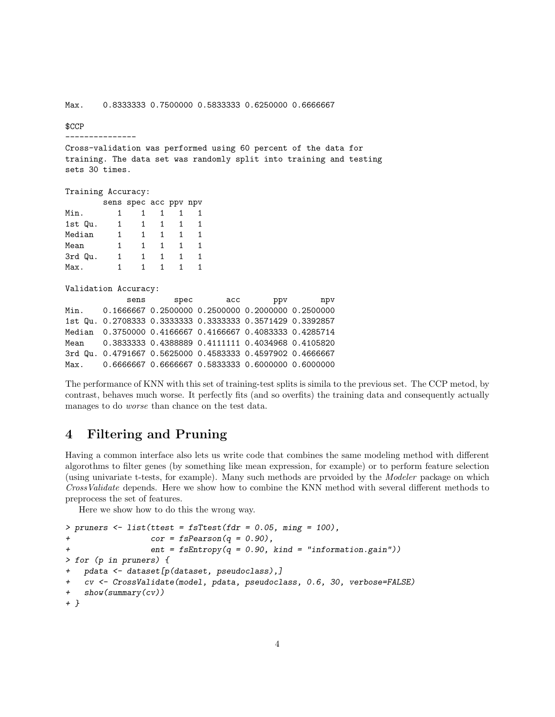#### \$CCP

---------------

Cross-validation was performed using 60 percent of the data for training. The data set was randomly split into training and testing sets 30 times.

## Training Accuracy:

|         |   | sens spec acc ppv npv |  |  |
|---------|---|-----------------------|--|--|
| Min.    |   |                       |  |  |
| 1st Qu. | 1 |                       |  |  |
| Median  | 1 |                       |  |  |
| Mean    | 1 |                       |  |  |
| 3rd Qu. | 1 |                       |  |  |
| Max.    |   |                       |  |  |

### Validation Accuracy:

| sens                                                       | spec | acc | ppv | npv |
|------------------------------------------------------------|------|-----|-----|-----|
| Min. 0.1666667 0.2500000 0.2500000 0.2000000 0.2500000     |      |     |     |     |
| 1st Qu. 0.2708333 0.3333333 0.3333333 0.3571429 0.3392857  |      |     |     |     |
| Median 0.3750000 0.4166667 0.4166667 0.4083333 0.4285714   |      |     |     |     |
| Mean 0.3833333  0.4388889  0.4111111  0.4034968  0.4105820 |      |     |     |     |
| 3rd Qu. 0.4791667 0.5625000 0.4583333 0.4597902 0.4666667  |      |     |     |     |
| Max. 0.6666667 0.6666667 0.5833333 0.6000000 0.6000000     |      |     |     |     |

The performance of KNN with this set of training-test splits is simila to the previous set. The CCP metod, by contrast, behaves much worse. It perfectly fits (and so overfits) the training data and consequently actually manages to do worse than chance on the test data.

## <span id="page-3-0"></span>4 Filtering and Pruning

Having a common interface also lets us write code that combines the same modeling method with different algorothms to filter genes (by something like mean expression, for example) or to perform feature selection (using univariate t-tests, for example). Many such methods are prvoided by the Modeler package on which CrossValidate depends. Here we show how to combine the KNN method with several different methods to preprocess the set of features.

Here we show how to do this the wrong way.

```
> pruners \le list(ttest = fsTtest(fdr = 0.05, ming = 100),
+ cor = fsPearson(q = 0.90),
+ ent = fsEntropy(q = 0.90, kind = "information.gain"))
> for (p in pruners) {
+ pdata <- dataset[p(dataset, pseudoclass),]
+ cv <- CrossValidate(model, pdata, pseudoclass, 0.6, 30, verbose=FALSE)
+ show(summary(cv))
+ }
```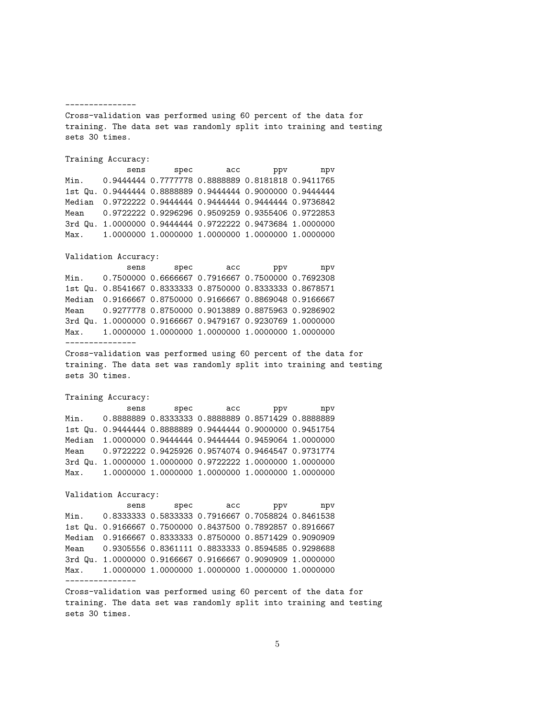#### ---------------

Cross-validation was performed using 60 percent of the data for training. The data set was randomly split into training and testing sets 30 times.

## Training Accuracy:

sens spec acc ppv npv Min. 0.9444444 0.7777778 0.8888889 0.8181818 0.9411765 1st Qu. 0.9444444 0.8888889 0.9444444 0.9000000 0.9444444 Median 0.9722222 0.9444444 0.9444444 0.9444444 0.9736842 Mean 0.9722222 0.9296296 0.9509259 0.9355406 0.9722853 3rd Qu. 1.0000000 0.9444444 0.9722222 0.9473684 1.0000000 Max. 1.0000000 1.0000000 1.0000000 1.0000000 1.0000000

## Validation Accuracy:

sens spec acc ppv npv Min. 0.7500000 0.6666667 0.7916667 0.7500000 0.7692308 1st Qu. 0.8541667 0.8333333 0.8750000 0.8333333 0.8678571 Median 0.9166667 0.8750000 0.9166667 0.8869048 0.9166667 Mean 0.9277778 0.8750000 0.9013889 0.8875963 0.9286902 3rd Qu. 1.0000000 0.9166667 0.9479167 0.9230769 1.0000000 Max. 1.0000000 1.0000000 1.0000000 1.0000000 1.0000000 ---------------

Cross-validation was performed using 60 percent of the data for training. The data set was randomly split into training and testing sets 30 times.

## Training Accuracy:

sens spec acc ppv npv Min. 0.8888889 0.8333333 0.8888889 0.8571429 0.8888889 1st Qu. 0.9444444 0.8888889 0.9444444 0.9000000 0.9451754 Median 1.0000000 0.9444444 0.9444444 0.9459064 1.0000000 Mean 0.9722222 0.9425926 0.9574074 0.9464547 0.9731774 3rd Qu. 1.0000000 1.0000000 0.9722222 1.0000000 1.0000000 Max. 1.0000000 1.0000000 1.0000000 1.0000000 1.0000000

### Validation Accuracy:

sens spec acc ppv npv Min. 0.8333333 0.5833333 0.7916667 0.7058824 0.8461538 1st Qu. 0.9166667 0.7500000 0.8437500 0.7892857 0.8916667 Median 0.9166667 0.8333333 0.8750000 0.8571429 0.9090909 Mean 0.9305556 0.8361111 0.8833333 0.8594585 0.9298688 3rd Qu. 1.0000000 0.9166667 0.9166667 0.9090909 1.0000000 Max. 1.0000000 1.0000000 1.0000000 1.0000000 1.0000000 ---------------

Cross-validation was performed using 60 percent of the data for training. The data set was randomly split into training and testing sets 30 times.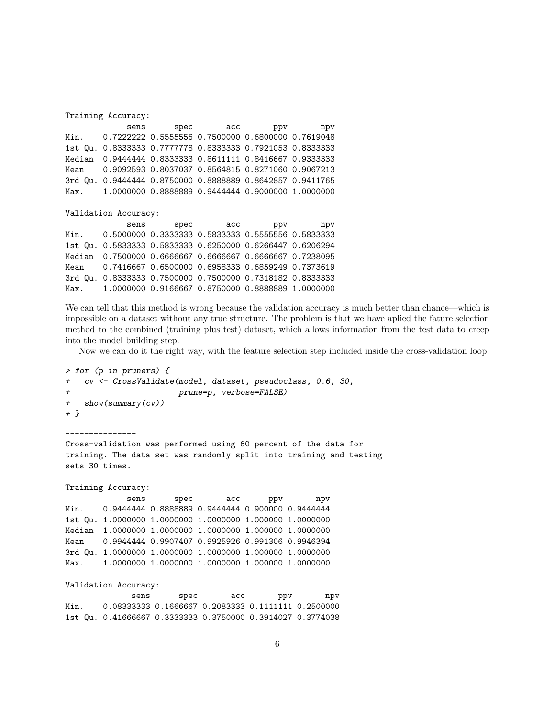| Training Accuracy:   |  |      |  |                                                                                                                                                                                                                                                                                                                                                                                                                                                                                                                                  |  |  |  |
|----------------------|--|------|--|----------------------------------------------------------------------------------------------------------------------------------------------------------------------------------------------------------------------------------------------------------------------------------------------------------------------------------------------------------------------------------------------------------------------------------------------------------------------------------------------------------------------------------|--|--|--|
| sens                 |  |      |  | ppv npv                                                                                                                                                                                                                                                                                                                                                                                                                                                                                                                          |  |  |  |
|                      |  |      |  |                                                                                                                                                                                                                                                                                                                                                                                                                                                                                                                                  |  |  |  |
| 1st Qu.              |  |      |  |                                                                                                                                                                                                                                                                                                                                                                                                                                                                                                                                  |  |  |  |
|                      |  |      |  |                                                                                                                                                                                                                                                                                                                                                                                                                                                                                                                                  |  |  |  |
|                      |  |      |  |                                                                                                                                                                                                                                                                                                                                                                                                                                                                                                                                  |  |  |  |
| 3rd Qu.              |  |      |  |                                                                                                                                                                                                                                                                                                                                                                                                                                                                                                                                  |  |  |  |
|                      |  |      |  |                                                                                                                                                                                                                                                                                                                                                                                                                                                                                                                                  |  |  |  |
|                      |  |      |  |                                                                                                                                                                                                                                                                                                                                                                                                                                                                                                                                  |  |  |  |
| Validation Accuracy: |  |      |  |                                                                                                                                                                                                                                                                                                                                                                                                                                                                                                                                  |  |  |  |
|                      |  |      |  | npv                                                                                                                                                                                                                                                                                                                                                                                                                                                                                                                              |  |  |  |
|                      |  |      |  |                                                                                                                                                                                                                                                                                                                                                                                                                                                                                                                                  |  |  |  |
|                      |  |      |  |                                                                                                                                                                                                                                                                                                                                                                                                                                                                                                                                  |  |  |  |
|                      |  |      |  |                                                                                                                                                                                                                                                                                                                                                                                                                                                                                                                                  |  |  |  |
|                      |  | sens |  | spec acc<br>0.7222222 0.5555556 0.7500000 0.6800000 0.7619048<br>0.8333333 0.7777778 0.8333333 0.7921053 0.8333333<br>0.9444444 0.8333333 0.8611111 0.8416667 0.9333333<br>0.9092593 0.8037037 0.8564815 0.8271060 0.9067213<br>0.9444444 0.8750000 0.8888889 0.8642857 0.9411765<br>1.0000000 0.8888889 0.9444444 0.9000000 1.0000000<br>spec acc<br>ppv<br>0.5000000 0.3333333 0.5833333 0.5555556 0.5833333<br>1st Qu. 0.5833333 0.5833333 0.6250000 0.6266447 0.6206294<br>0.7500000 0.6666667 0.6666667 0.6666667 0.7238095 |  |  |  |

Mean 0.7416667 0.6500000 0.6958333 0.6859249 0.7373619

3rd Qu. 0.8333333 0.7500000 0.7500000 0.7318182 0.8333333 Max. 1.0000000 0.9166667 0.8750000 0.8888889 1.0000000 We can tell that this method is wrong because the validation accuracy is much better than chance—which is

impossible on a dataset without any true structure. The problem is that we have aplied the fature selection method to the combined (training plus test) dataset, which allows information from the test data to creep into the model building step.

Now we can do it the right way, with the feature selection step included inside the cross-validation loop.

```
> for (p in pruners) {
+ cv <- CrossValidate(model, dataset, pseudoclass, 0.6, 30,
+ prune=p, verbose=FALSE)
+ show(summary(cv))
+ }
---------------
Cross-validation was performed using 60 percent of the data for
training. The data set was randomly split into training and testing
sets 30 times.
Training Accuracy:
            sens spec acc ppv npv
Min. 0.9444444 0.8888889 0.9444444 0.900000 0.9444444
1st Qu. 1.0000000 1.0000000 1.0000000 1.000000 1.0000000
Median 1.0000000 1.0000000 1.0000000 1.000000 1.0000000
Mean  0.9944444 0.9907407 0.9925926 0.991306 0.9946394
3rd Qu. 1.0000000 1.0000000 1.0000000 1.000000 1.0000000
Max. 1.0000000 1.0000000 1.0000000 1.000000 1.0000000
Validation Accuracy:
             sens spec acc ppv npv
Min. 0.08333333 0.1666667 0.2083333 0.1111111 0.2500000
```
1st Qu. 0.41666667 0.3333333 0.3750000 0.3914027 0.3774038